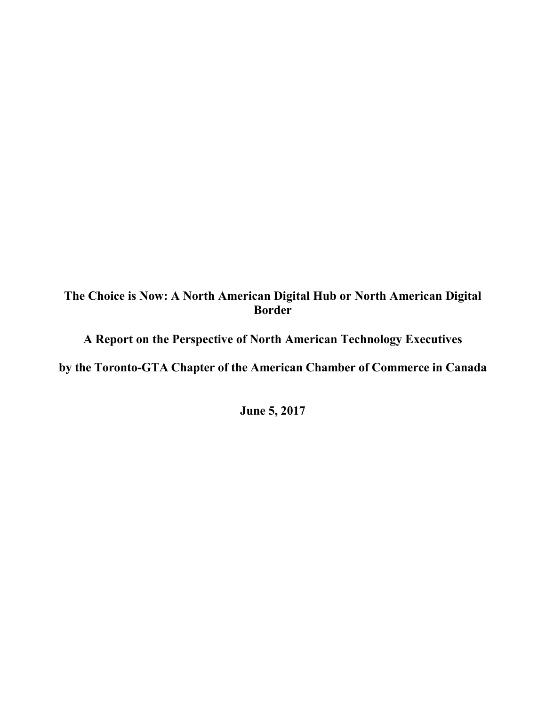# **The Choice is Now: A North American Digital Hub or North American Digital Border**

**A Report on the Perspective of North American Technology Executives**

**by the Toronto-GTA Chapter of the American Chamber of Commerce in Canada**

**June 5, 2017**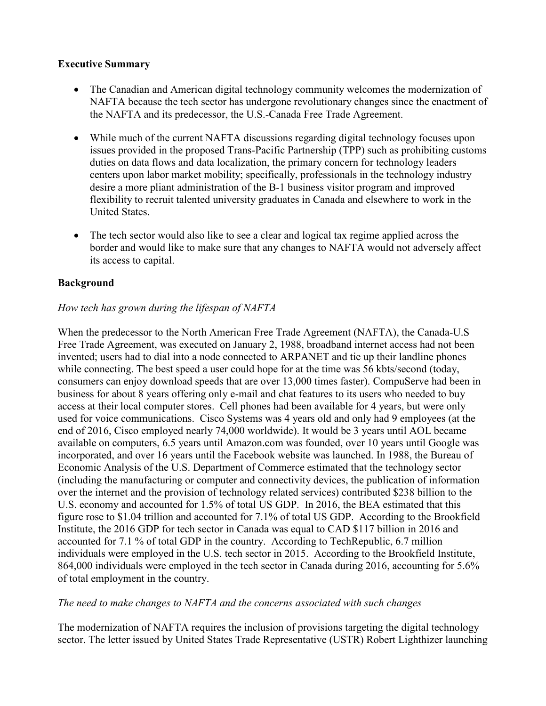#### **Executive Summary**

- The Canadian and American digital technology community welcomes the modernization of NAFTA because the tech sector has undergone revolutionary changes since the enactment of the NAFTA and its predecessor, the U.S.-Canada Free Trade Agreement.
- While much of the current NAFTA discussions regarding digital technology focuses upon issues provided in the proposed Trans-Pacific Partnership (TPP) such as prohibiting customs duties on data flows and data localization, the primary concern for technology leaders centers upon labor market mobility; specifically, professionals in the technology industry desire a more pliant administration of the B-1 business visitor program and improved flexibility to recruit talented university graduates in Canada and elsewhere to work in the United States.
- The tech sector would also like to see a clear and logical tax regime applied across the border and would like to make sure that any changes to NAFTA would not adversely affect its access to capital.

## **Background**

## *How tech has grown during the lifespan of NAFTA*

When the predecessor to the North American Free Trade Agreement (NAFTA), the Canada-U.S Free Trade Agreement, was executed on January 2, 1988, broadband internet access had not been invented; users had to dial into a node connected to ARPANET and tie up their landline phones while connecting. The best speed a user could hope for at the time was 56 kbts/second (today, consumers can enjoy download speeds that are over 13,000 times faster). CompuServe had been in business for about 8 years offering only e-mail and chat features to its users who needed to buy access at their local computer stores. Cell phones had been available for 4 years, but were only used for voice communications. Cisco Systems was 4 years old and only had 9 employees (at the end of 2016, Cisco employed nearly 74,000 worldwide). It would be 3 years until AOL became available on computers, 6.5 years until Amazon.com was founded, over 10 years until Google was incorporated, and over 16 years until the Facebook website was launched. In 1988, the Bureau of Economic Analysis of the U.S. Department of Commerce estimated that the technology sector (including the manufacturing or computer and connectivity devices, the publication of information over the internet and the provision of technology related services) contributed \$238 billion to the U.S. economy and accounted for 1.5% of total US GDP. In 2016, the BEA estimated that this figure rose to \$1.04 trillion and accounted for 7.1% of total US GDP. According to the Brookfield Institute, the 2016 GDP for tech sector in Canada was equal to CAD \$117 billion in 2016 and accounted for 7.1 % of total GDP in the country. According to TechRepublic, 6.7 million individuals were employed in the U.S. tech sector in 2015. According to the Brookfield Institute, 864,000 individuals were employed in the tech sector in Canada during 2016, accounting for 5.6% of total employment in the country.

## *The need to make changes to NAFTA and the concerns associated with such changes*

The modernization of NAFTA requires the inclusion of provisions targeting the digital technology sector. The letter issued by United States Trade Representative (USTR) Robert Lighthizer launching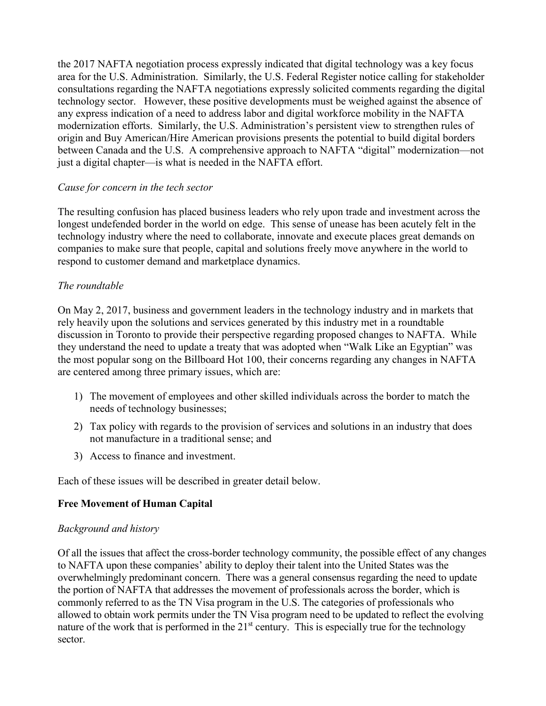the 2017 NAFTA negotiation process expressly indicated that digital technology was a key focus area for the U.S. Administration. Similarly, the U.S. Federal Register notice calling for stakeholder consultations regarding the NAFTA negotiations expressly solicited comments regarding the digital technology sector. However, these positive developments must be weighed against the absence of any express indication of a need to address labor and digital workforce mobility in the NAFTA modernization efforts. Similarly, the U.S. Administration's persistent view to strengthen rules of origin and Buy American/Hire American provisions presents the potential to build digital borders between Canada and the U.S. A comprehensive approach to NAFTA "digital" modernization—not just a digital chapter—is what is needed in the NAFTA effort.

## *Cause for concern in the tech sector*

The resulting confusion has placed business leaders who rely upon trade and investment across the longest undefended border in the world on edge. This sense of unease has been acutely felt in the technology industry where the need to collaborate, innovate and execute places great demands on companies to make sure that people, capital and solutions freely move anywhere in the world to respond to customer demand and marketplace dynamics.

#### *The roundtable*

On May 2, 2017, business and government leaders in the technology industry and in markets that rely heavily upon the solutions and services generated by this industry met in a roundtable discussion in Toronto to provide their perspective regarding proposed changes to NAFTA. While they understand the need to update a treaty that was adopted when "Walk Like an Egyptian" was the most popular song on the Billboard Hot 100, their concerns regarding any changes in NAFTA are centered among three primary issues, which are:

- 1) The movement of employees and other skilled individuals across the border to match the needs of technology businesses;
- 2) Tax policy with regards to the provision of services and solutions in an industry that does not manufacture in a traditional sense; and
- 3) Access to finance and investment.

Each of these issues will be described in greater detail below.

## **Free Movement of Human Capital**

#### *Background and history*

Of all the issues that affect the cross-border technology community, the possible effect of any changes to NAFTA upon these companies' ability to deploy their talent into the United States was the overwhelmingly predominant concern. There was a general consensus regarding the need to update the portion of NAFTA that addresses the movement of professionals across the border, which is commonly referred to as the TN Visa program in the U.S. The categories of professionals who allowed to obtain work permits under the TN Visa program need to be updated to reflect the evolving nature of the work that is performed in the  $21<sup>st</sup>$  century. This is especially true for the technology sector.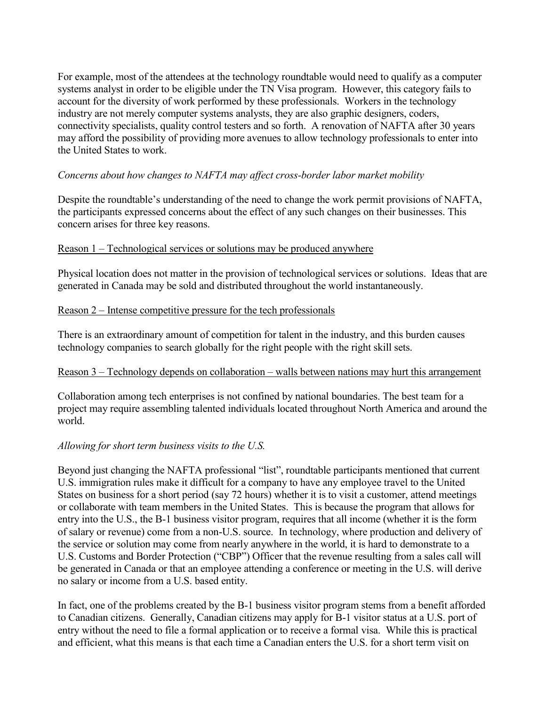For example, most of the attendees at the technology roundtable would need to qualify as a computer systems analyst in order to be eligible under the TN Visa program. However, this category fails to account for the diversity of work performed by these professionals. Workers in the technology industry are not merely computer systems analysts, they are also graphic designers, coders, connectivity specialists, quality control testers and so forth. A renovation of NAFTA after 30 years may afford the possibility of providing more avenues to allow technology professionals to enter into the United States to work.

#### *Concerns about how changes to NAFTA may affect cross-border labor market mobility*

Despite the roundtable's understanding of the need to change the work permit provisions of NAFTA, the participants expressed concerns about the effect of any such changes on their businesses. This concern arises for three key reasons.

#### Reason 1 – Technological services or solutions may be produced anywhere

Physical location does not matter in the provision of technological services or solutions. Ideas that are generated in Canada may be sold and distributed throughout the world instantaneously.

#### Reason 2 – Intense competitive pressure for the tech professionals

There is an extraordinary amount of competition for talent in the industry, and this burden causes technology companies to search globally for the right people with the right skill sets.

## Reason 3 – Technology depends on collaboration – walls between nations may hurt this arrangement

Collaboration among tech enterprises is not confined by national boundaries. The best team for a project may require assembling talented individuals located throughout North America and around the world.

## *Allowing for short term business visits to the U.S.*

Beyond just changing the NAFTA professional "list", roundtable participants mentioned that current U.S. immigration rules make it difficult for a company to have any employee travel to the United States on business for a short period (say 72 hours) whether it is to visit a customer, attend meetings or collaborate with team members in the United States. This is because the program that allows for entry into the U.S., the B-1 business visitor program, requires that all income (whether it is the form of salary or revenue) come from a non-U.S. source. In technology, where production and delivery of the service or solution may come from nearly anywhere in the world, it is hard to demonstrate to a U.S. Customs and Border Protection ("CBP") Officer that the revenue resulting from a sales call will be generated in Canada or that an employee attending a conference or meeting in the U.S. will derive no salary or income from a U.S. based entity.

In fact, one of the problems created by the B-1 business visitor program stems from a benefit afforded to Canadian citizens. Generally, Canadian citizens may apply for B-1 visitor status at a U.S. port of entry without the need to file a formal application or to receive a formal visa. While this is practical and efficient, what this means is that each time a Canadian enters the U.S. for a short term visit on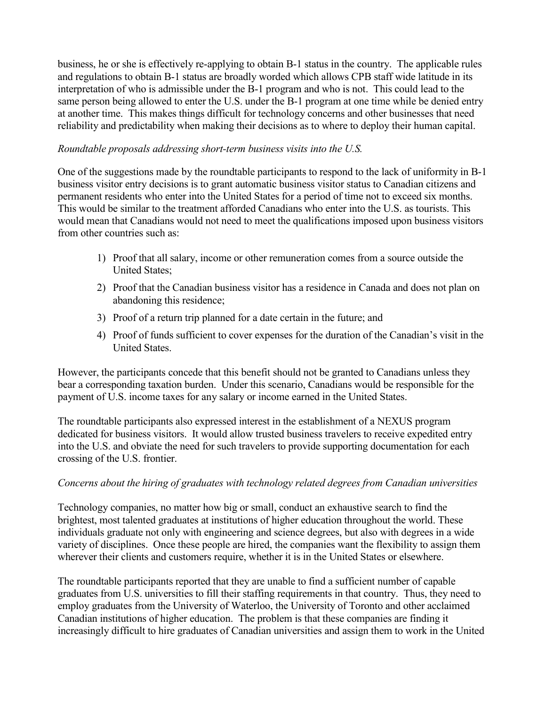business, he or she is effectively re-applying to obtain B-1 status in the country. The applicable rules and regulations to obtain B-1 status are broadly worded which allows CPB staff wide latitude in its interpretation of who is admissible under the B-1 program and who is not. This could lead to the same person being allowed to enter the U.S. under the B-1 program at one time while be denied entry at another time. This makes things difficult for technology concerns and other businesses that need reliability and predictability when making their decisions as to where to deploy their human capital.

#### *Roundtable proposals addressing short-term business visits into the U.S.*

One of the suggestions made by the roundtable participants to respond to the lack of uniformity in B-1 business visitor entry decisions is to grant automatic business visitor status to Canadian citizens and permanent residents who enter into the United States for a period of time not to exceed six months. This would be similar to the treatment afforded Canadians who enter into the U.S. as tourists. This would mean that Canadians would not need to meet the qualifications imposed upon business visitors from other countries such as:

- 1) Proof that all salary, income or other remuneration comes from a source outside the United States;
- 2) Proof that the Canadian business visitor has a residence in Canada and does not plan on abandoning this residence;
- 3) Proof of a return trip planned for a date certain in the future; and
- 4) Proof of funds sufficient to cover expenses for the duration of the Canadian's visit in the United States.

However, the participants concede that this benefit should not be granted to Canadians unless they bear a corresponding taxation burden. Under this scenario, Canadians would be responsible for the payment of U.S. income taxes for any salary or income earned in the United States.

The roundtable participants also expressed interest in the establishment of a NEXUS program dedicated for business visitors. It would allow trusted business travelers to receive expedited entry into the U.S. and obviate the need for such travelers to provide supporting documentation for each crossing of the U.S. frontier.

## *Concerns about the hiring of graduates with technology related degrees from Canadian universities*

Technology companies, no matter how big or small, conduct an exhaustive search to find the brightest, most talented graduates at institutions of higher education throughout the world. These individuals graduate not only with engineering and science degrees, but also with degrees in a wide variety of disciplines. Once these people are hired, the companies want the flexibility to assign them wherever their clients and customers require, whether it is in the United States or elsewhere.

The roundtable participants reported that they are unable to find a sufficient number of capable graduates from U.S. universities to fill their staffing requirements in that country. Thus, they need to employ graduates from the University of Waterloo, the University of Toronto and other acclaimed Canadian institutions of higher education. The problem is that these companies are finding it increasingly difficult to hire graduates of Canadian universities and assign them to work in the United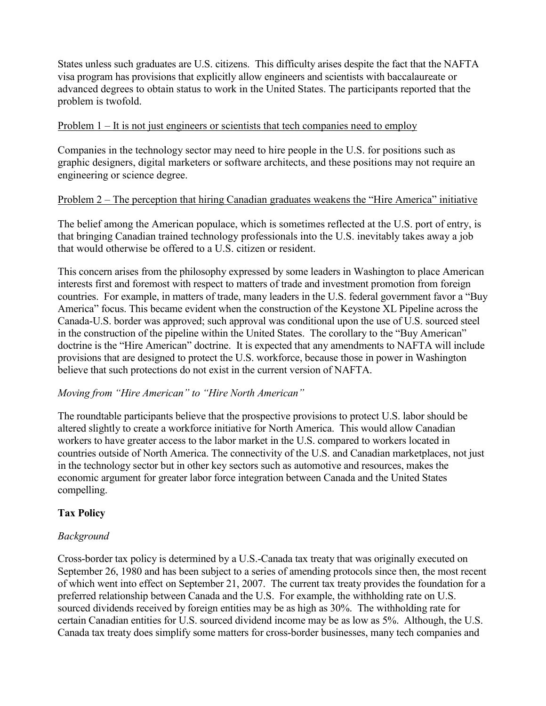States unless such graduates are U.S. citizens. This difficulty arises despite the fact that the NAFTA visa program has provisions that explicitly allow engineers and scientists with baccalaureate or advanced degrees to obtain status to work in the United States. The participants reported that the problem is twofold.

#### Problem 1 – It is not just engineers or scientists that tech companies need to employ

Companies in the technology sector may need to hire people in the U.S. for positions such as graphic designers, digital marketers or software architects, and these positions may not require an engineering or science degree.

## Problem 2 – The perception that hiring Canadian graduates weakens the "Hire America" initiative

The belief among the American populace, which is sometimes reflected at the U.S. port of entry, is that bringing Canadian trained technology professionals into the U.S. inevitably takes away a job that would otherwise be offered to a U.S. citizen or resident.

This concern arises from the philosophy expressed by some leaders in Washington to place American interests first and foremost with respect to matters of trade and investment promotion from foreign countries. For example, in matters of trade, many leaders in the U.S. federal government favor a "Buy America" focus. This became evident when the construction of the Keystone XL Pipeline across the Canada-U.S. border was approved; such approval was conditional upon the use of U.S. sourced steel in the construction of the pipeline within the United States. The corollary to the "Buy American" doctrine is the "Hire American" doctrine. It is expected that any amendments to NAFTA will include provisions that are designed to protect the U.S. workforce, because those in power in Washington believe that such protections do not exist in the current version of NAFTA.

## *Moving from "Hire American" to "Hire North American"*

The roundtable participants believe that the prospective provisions to protect U.S. labor should be altered slightly to create a workforce initiative for North America. This would allow Canadian workers to have greater access to the labor market in the U.S. compared to workers located in countries outside of North America. The connectivity of the U.S. and Canadian marketplaces, not just in the technology sector but in other key sectors such as automotive and resources, makes the economic argument for greater labor force integration between Canada and the United States compelling.

## **Tax Policy**

## *Background*

Cross-border tax policy is determined by a U.S.-Canada tax treaty that was originally executed on September 26, 1980 and has been subject to a series of amending protocols since then, the most recent of which went into effect on September 21, 2007. The current tax treaty provides the foundation for a preferred relationship between Canada and the U.S. For example, the withholding rate on U.S. sourced dividends received by foreign entities may be as high as 30%. The withholding rate for certain Canadian entities for U.S. sourced dividend income may be as low as 5%. Although, the U.S. Canada tax treaty does simplify some matters for cross-border businesses, many tech companies and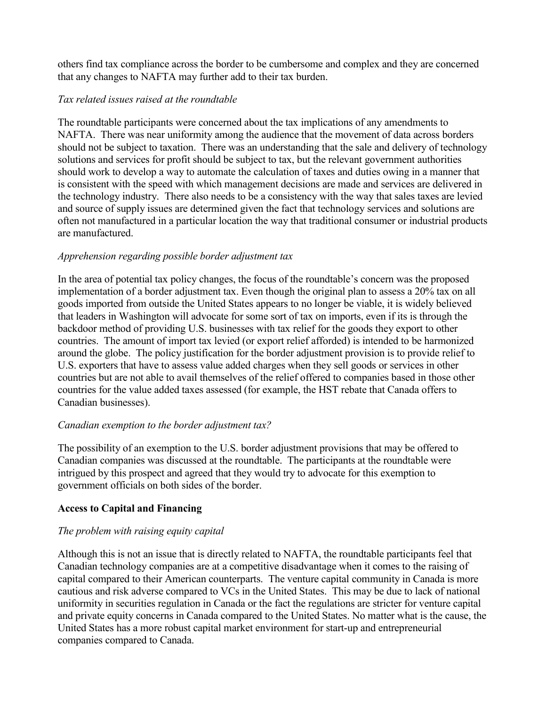others find tax compliance across the border to be cumbersome and complex and they are concerned that any changes to NAFTA may further add to their tax burden.

## *Tax related issues raised at the roundtable*

The roundtable participants were concerned about the tax implications of any amendments to NAFTA. There was near uniformity among the audience that the movement of data across borders should not be subject to taxation. There was an understanding that the sale and delivery of technology solutions and services for profit should be subject to tax, but the relevant government authorities should work to develop a way to automate the calculation of taxes and duties owing in a manner that is consistent with the speed with which management decisions are made and services are delivered in the technology industry. There also needs to be a consistency with the way that sales taxes are levied and source of supply issues are determined given the fact that technology services and solutions are often not manufactured in a particular location the way that traditional consumer or industrial products are manufactured.

#### *Apprehension regarding possible border adjustment tax*

In the area of potential tax policy changes, the focus of the roundtable's concern was the proposed implementation of a border adjustment tax. Even though the original plan to assess a 20% tax on all goods imported from outside the United States appears to no longer be viable, it is widely believed that leaders in Washington will advocate for some sort of tax on imports, even if its is through the backdoor method of providing U.S. businesses with tax relief for the goods they export to other countries. The amount of import tax levied (or export relief afforded) is intended to be harmonized around the globe. The policy justification for the border adjustment provision is to provide relief to U.S. exporters that have to assess value added charges when they sell goods or services in other countries but are not able to avail themselves of the relief offered to companies based in those other countries for the value added taxes assessed (for example, the HST rebate that Canada offers to Canadian businesses).

## *Canadian exemption to the border adjustment tax?*

The possibility of an exemption to the U.S. border adjustment provisions that may be offered to Canadian companies was discussed at the roundtable. The participants at the roundtable were intrigued by this prospect and agreed that they would try to advocate for this exemption to government officials on both sides of the border.

## **Access to Capital and Financing**

## *The problem with raising equity capital*

Although this is not an issue that is directly related to NAFTA, the roundtable participants feel that Canadian technology companies are at a competitive disadvantage when it comes to the raising of capital compared to their American counterparts. The venture capital community in Canada is more cautious and risk adverse compared to VCs in the United States. This may be due to lack of national uniformity in securities regulation in Canada or the fact the regulations are stricter for venture capital and private equity concerns in Canada compared to the United States. No matter what is the cause, the United States has a more robust capital market environment for start-up and entrepreneurial companies compared to Canada.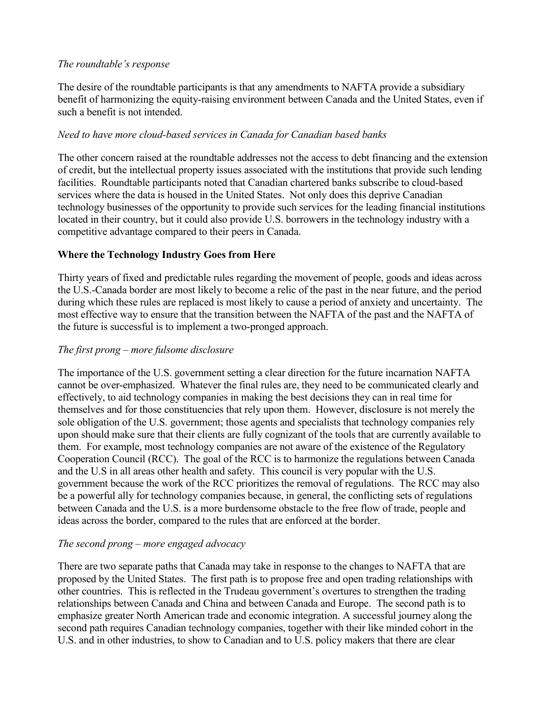#### *The roundtable's response*

The desire of the roundtable participants is that any amendments to NAFTA provide a subsidiary benefit of harmonizing the equity-raising environment between Canada and the United States, even if such a benefit is not intended.

# *Need to have more cloud-based services in Canada for Canadian based banks*

The other concern raised at the roundtable addresses not the access to debt financing and the extension of credit, but the intellectual property issues associated with the institutions that provide such lending facilities. Roundtable participants noted that Canadian chartered banks subscribe to cloud-based services where the data is housed in the United States. Not only does this deprive Canadian technology businesses of the opportunity to provide such services for the leading financial institutions located in their country, but it could also provide U.S. borrowers in the technology industry with a competitive advantage compared to their peers in Canada.

# **Where the Technology Industry Goes from Here**

Thirty years of fixed and predictable rules regarding the movement of people, goods and ideas across the U.S.-Canada border are most likely to become a relic of the past in the near future, and the period during which these rules are replaced is most likely to cause a period of anxiety and uncertainty. The most effective way to ensure that the transition between the NAFTA of the past and the NAFTA of the future is successful is to implement a two-pronged approach.

# *The first prong – more fulsome disclosure*

The importance of the U.S. government setting a clear direction for the future incarnation NAFTA cannot be over-emphasized. Whatever the final rules are, they need to be communicated clearly and effectively, to aid technology companies in making the best decisions they can in real time for themselves and for those constituencies that rely upon them. However, disclosure is not merely the sole obligation of the U.S. government; those agents and specialists that technology companies rely upon should make sure that their clients are fully cognizant of the tools that are currently available to them. For example, most technology companies are not aware of the existence of the Regulatory Cooperation Council (RCC). The goal of the RCC is to harmonize the regulations between Canada and the U.S in all areas other health and safety. This council is very popular with the U.S. government because the work of the RCC prioritizes the removal of regulations. The RCC may also be a powerful ally for technology companies because, in general, the conflicting sets of regulations between Canada and the U.S. is a more burdensome obstacle to the free flow of trade, people and ideas across the border, compared to the rules that are enforced at the border.

## *The second prong – more engaged advocacy*

There are two separate paths that Canada may take in response to the changes to NAFTA that are proposed by the United States. The first path is to propose free and open trading relationships with other countries. This is reflected in the Trudeau government's overtures to strengthen the trading relationships between Canada and China and between Canada and Europe. The second path is to emphasize greater North American trade and economic integration. A successful journey along the second path requires Canadian technology companies, together with their like minded cohort in the U.S. and in other industries, to show to Canadian and to U.S. policy makers that there are clear